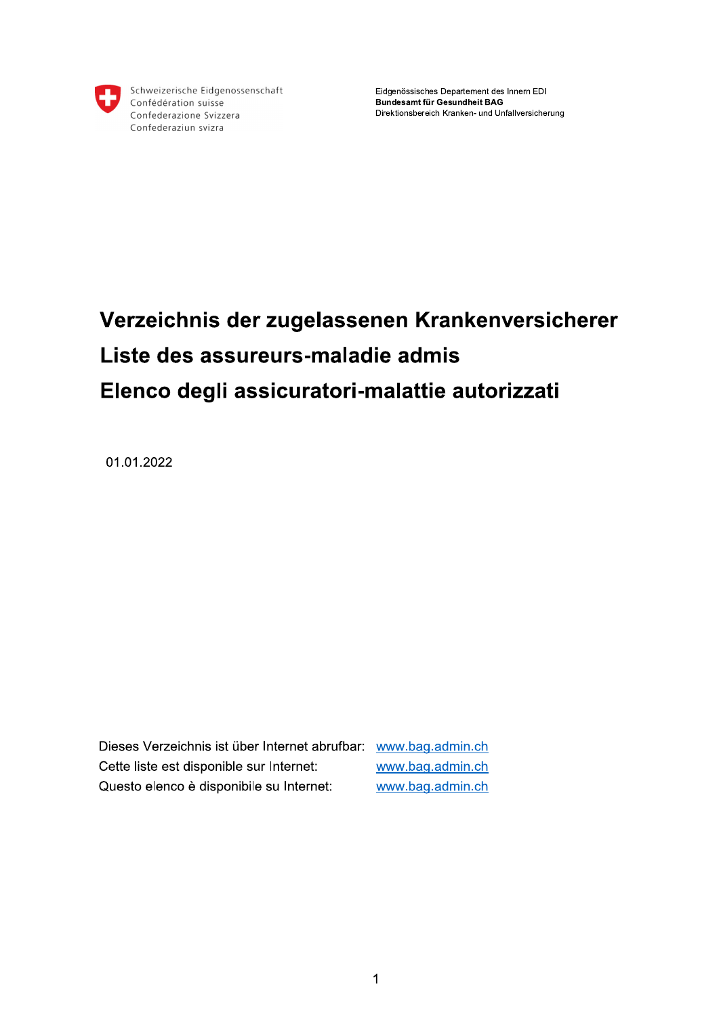

Schweizerische Eidgenossenschaft Confédération suisse Confederazione Svizzera Confederaziun svizra

Eidgenössisches Departement des Innern EDI Bundesamt für Gesundheit BAG Direktionsbereich Kranken- und Unfallversicherung

## Verzeichnis der zugelassenen Krankenversicherer Liste des assureurs-maladie admis Elenco degli assicuratori-malattie autorizzati

01.01.2022

Dieses Verzeichnis ist über Internet abrufbar: www.bag.admin.ch Cette liste est disponible sur Internet: www.bag.admin.ch Questo elenco è disponibile su Internet: www.bag.admin.ch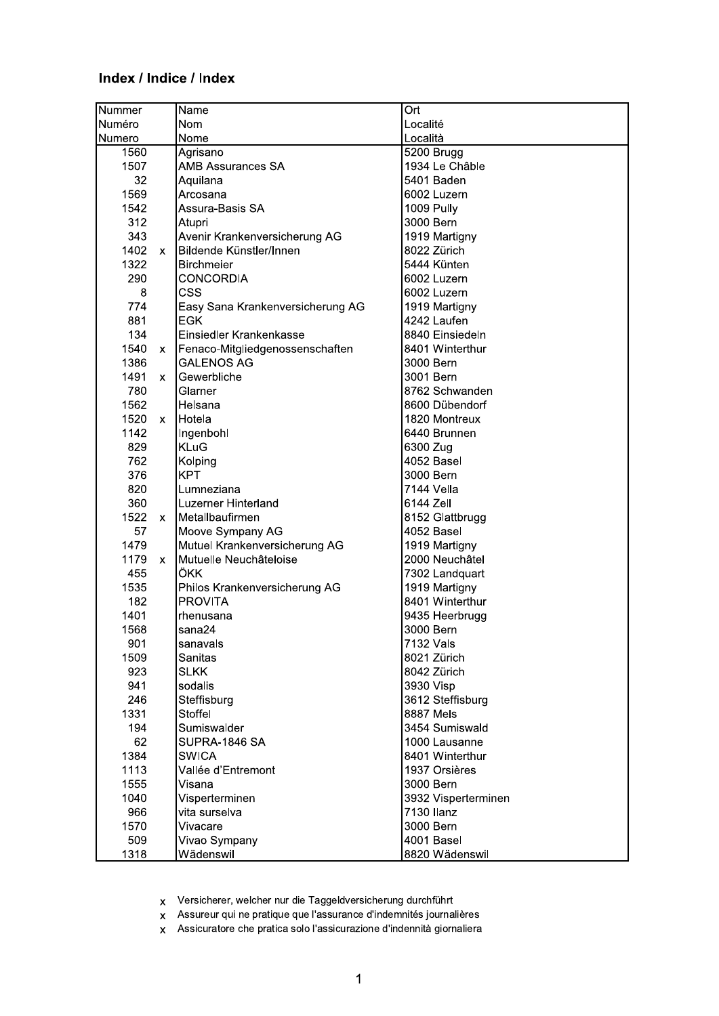## Index / Indice / Index

| Nummer                 | Name                             | Ort                 |
|------------------------|----------------------------------|---------------------|
| Numéro                 | Nom                              | Localité            |
| Numero                 | Nome                             | Località            |
| 1560                   | Agrisano                         | $5200$ Brugg        |
| 1507                   | <b>AMB Assurances SA</b>         | 1934 Le Châble      |
| 32                     | Aquilana                         | 5401 Baden          |
| 1569                   | Arcosana                         | 6002 Luzern         |
| 1542                   | Assura-Basis SA                  | 1009 Pully          |
| 312                    | Atupri                           | 3000 Bern           |
| 343                    | Avenir Krankenversicherung AG    | 1919 Martigny       |
| 1402<br>$\mathsf{x}$   | Bildende Künstler/Innen          | 8022 Zürich         |
| 1322                   | <b>Birchmeier</b>                | 5444 Künten         |
| 290                    | <b>CONCORDIA</b>                 | 6002 Luzern         |
| 8                      | CSS                              | 6002 Luzern         |
| 774                    | Easy Sana Krankenversicherung AG | 1919 Martigny       |
| 881                    | <b>EGK</b>                       | 4242 Laufen         |
| 134                    | Einsiedler Krankenkasse          | 8840 Einsiedeln     |
| 1540<br>$\mathsf{x}$   | Fenaco-Mitgliedgenossenschaften  | 8401 Winterthur     |
| 1386                   | <b>GALENOS AG</b>                | 3000 Bern           |
| 1491<br>$\mathsf{x}$   | Gewerbliche                      | 3001 Bern           |
| 780                    | Glarner                          | 8762 Schwanden      |
| 1562                   | Helsana                          | 8600 Dübendorf      |
| 1520<br>X.             | Hotela                           | 1820 Montreux       |
| 1142                   | Ingenbohl                        | 6440 Brunnen        |
| 829                    | <b>KLuG</b>                      | 6300 Zug            |
| 762                    | Kolping                          | 4052 Basel          |
| 376                    | <b>KPT</b>                       | 3000 Bern           |
| 820                    | Lumneziana                       | 7144 Vella          |
| 360                    | Luzerner Hinterland              | 6144 Zell           |
| 1522<br>$\mathsf{x}$   | Metallbaufirmen                  | 8152 Glattbrugg     |
| 57                     | Moove Sympany AG                 | 4052 Basel          |
| 1479                   | Mutuel Krankenversicherung AG    | 1919 Martigny       |
| 1179<br>$\mathsf{X}^-$ | Mutuelle Neuchâteloise           | 2000 Neuchâtel      |
| 455                    | ÖKK                              | 7302 Landquart      |
| 1535                   | Philos Krankenversicherung AG    | 1919 Martigny       |
| 182                    | <b>PROVITA</b>                   | 8401 Winterthur     |
| 1401                   | rhenusana                        | 9435 Heerbrugg      |
| 1568                   | sana24                           | 3000 Bern           |
| 901                    | sanavals                         | 7132 Vals           |
| 1509                   | Sanitas                          | 8021 Zürich         |
| 923                    | <b>SLKK</b>                      | 8042 Zürich         |
| 941                    | sodalis                          | 3930 Visp           |
| 246                    | Steffisburg                      | 3612 Steffisburg    |
| 1331                   | Stoffel                          | 8887 Mels           |
| 194                    | Sumiswalder                      | 3454 Sumiswald      |
| 62                     | SUPRA-1846 SA                    | 1000 Lausanne       |
| 1384                   | <b>SWICA</b>                     | 8401 Winterthur     |
| 1113                   | Vallée d'Entremont               | 1937 Orsières       |
| 1555                   | Visana                           | 3000 Bern           |
| 1040                   | Visperterminen                   | 3932 Visperterminen |
| 966                    | vita surselva                    | 7130 Ilanz          |
| 1570                   | Vivacare                         | 3000 Bern           |
| 509                    | Vivao Sympany                    | 4001 Basel          |
| 1318                   | Wädenswil                        | 8820 Wädenswil      |

Versicherer, welcher nur die Taggeldversicherung durchführt  $\bar{\mathbf{x}}$ 

Assureur qui ne pratique que l'assurance d'indemnités journalières  $\bar{\mathbf{x}}$ 

Assicuratore che pratica solo l'assicurazione d'indennità giornaliera  $\bar{\mathbf{x}}$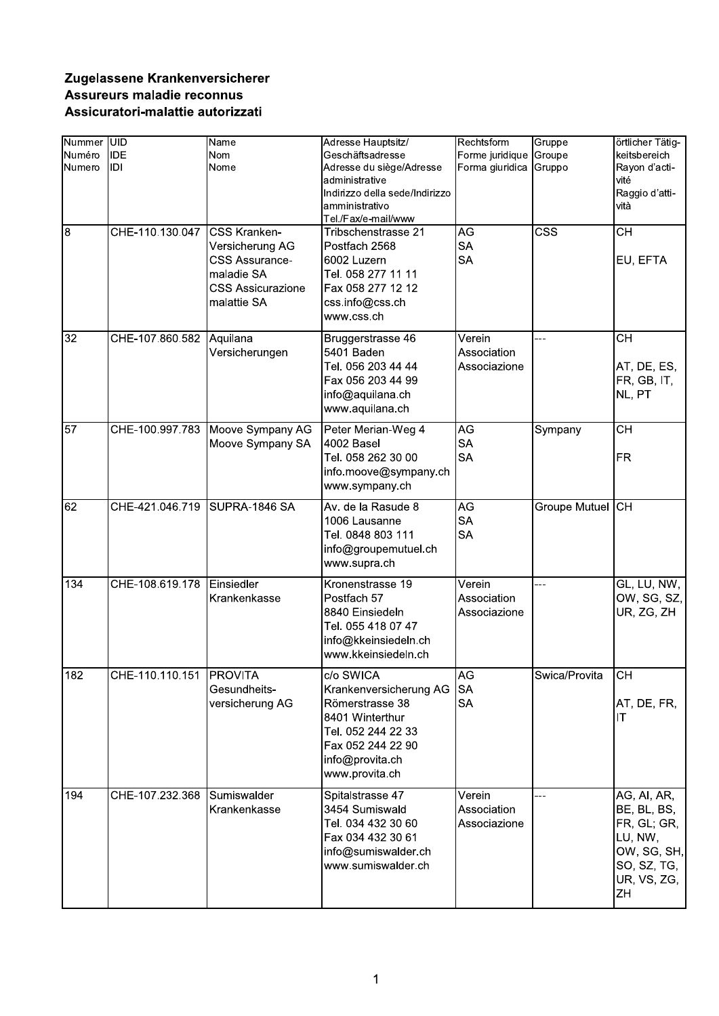## Zugelassene Krankenversicherer Assureurs maladie reconnus Assicuratori-malattie autorizzati

| Nummer UID<br>Numéro<br>Numero<br>l8 | <b>IDE</b><br>IDI<br>CHE-110.130.047 | Name<br>Nom<br>Nome<br><b>CSS Kranken-</b>                                                        | Adresse Hauptsitz/<br>Geschäftsadresse<br>Adresse du siège/Adresse<br>administrative<br>Indirizzo della sede/Indirizzo<br>amministrativo<br>Tel./Fax/e-mail/www<br>Tribschenstrasse 21 | Rechtsform<br>Forme juridique<br>Forma giuridica<br>AG | Gruppe<br>Groupe<br>Gruppo<br>$\overline{\text{CSS}}$ | örtlicher Tätig-<br>keitsbereich<br>Rayon d'acti-<br>vité<br>Raggio d'atti-<br>vità<br>$\overline{CH}$  |
|--------------------------------------|--------------------------------------|---------------------------------------------------------------------------------------------------|----------------------------------------------------------------------------------------------------------------------------------------------------------------------------------------|--------------------------------------------------------|-------------------------------------------------------|---------------------------------------------------------------------------------------------------------|
|                                      |                                      | Versicherung AG<br><b>CSS Assurance-</b><br>maladie SA<br><b>CSS Assicurazione</b><br>malattie SA | Postfach 2568<br>6002 Luzern<br>Tel. 058 277 11 11<br>Fax 058 277 12 12<br>css.info@css.ch<br>www.css.ch                                                                               | <b>SA</b><br><b>SA</b>                                 |                                                       | EU, EFTA                                                                                                |
| 32                                   | CHE-107.860.582                      | Aquilana<br>Versicherungen                                                                        | Bruggerstrasse 46<br>5401 Baden<br>Tel. 056 203 44 44<br>Fax 056 203 44 99<br>info@aquilana.ch<br>www.aquilana.ch                                                                      | Verein<br>Association<br>Associazione                  | ---                                                   | <b>CH</b><br>AT, DE, ES,<br>FR, GB, IT,<br>NL, PT                                                       |
| $\overline{57}$                      |                                      | CHE-100.997.783 Moove Sympany AG<br>Moove Sympany SA                                              | Peter Merian-Weg 4<br>4002 Basel<br>Tel. 058 262 30 00<br>info.moove@sympany.ch<br>www.sympany.ch                                                                                      | AG<br><b>SA</b><br><b>SA</b>                           | Sympany                                               | $\overline{CH}$<br><b>FR</b>                                                                            |
| 62                                   | CHE-421.046.719 SUPRA-1846 SA        |                                                                                                   | Av. de la Rasude 8<br>1006 Lausanne<br>Tel. 0848 803 111<br>info@groupemutuel.ch<br>www.supra.ch                                                                                       | AG<br><b>SA</b><br><b>SA</b>                           | Groupe Mutuel                                         | <b>CH</b>                                                                                               |
| 134                                  | CHE-108.619.178                      | Einsiedler<br>Krankenkasse                                                                        | Kronenstrasse 19<br>Postfach 57<br>8840 Einsiedeln<br>Tel. 055 418 07 47<br>info@kkeinsiedeln.ch<br>www.kkeinsiedeln.ch                                                                | Verein<br>Association<br>Associazione                  | ---                                                   | GL, LU, NW,<br>OW, SG, SZ,<br>UR, ZG, ZH                                                                |
| 182                                  | CHE-110.110.151 PROVITA              | Gesundheits-<br>versicherung AG                                                                   | $\overline{c}/\overline{o}$ SWICA<br>Krankenversicherung AG<br>Römerstrasse 38<br>8401 Winterthur<br>Tel. 052 244 22 33<br>Fax 052 244 22 90<br>info@provita.ch<br>www.provita.ch      | AG<br><b>SA</b><br><b>SA</b>                           | Swica/Provita                                         | CH<br>AT, DE, FR,<br>IТ                                                                                 |
| 194                                  | CHE-107.232.368                      | Sumiswalder<br>Krankenkasse                                                                       | Spitalstrasse 47<br>3454 Sumiswald<br>Tel. 034 432 30 60<br>Fax 034 432 30 61<br>info@sumiswalder.ch<br>www.sumiswalder.ch                                                             | Verein<br>Association<br>Associazione                  | ---                                                   | AG, AI, AR,<br>BE, BL, BS,<br>FR, GL; GR,<br>LU, NW,<br>OW, SG, SH,<br>SO, SZ, TG,<br>UR, VS, ZG,<br>ZH |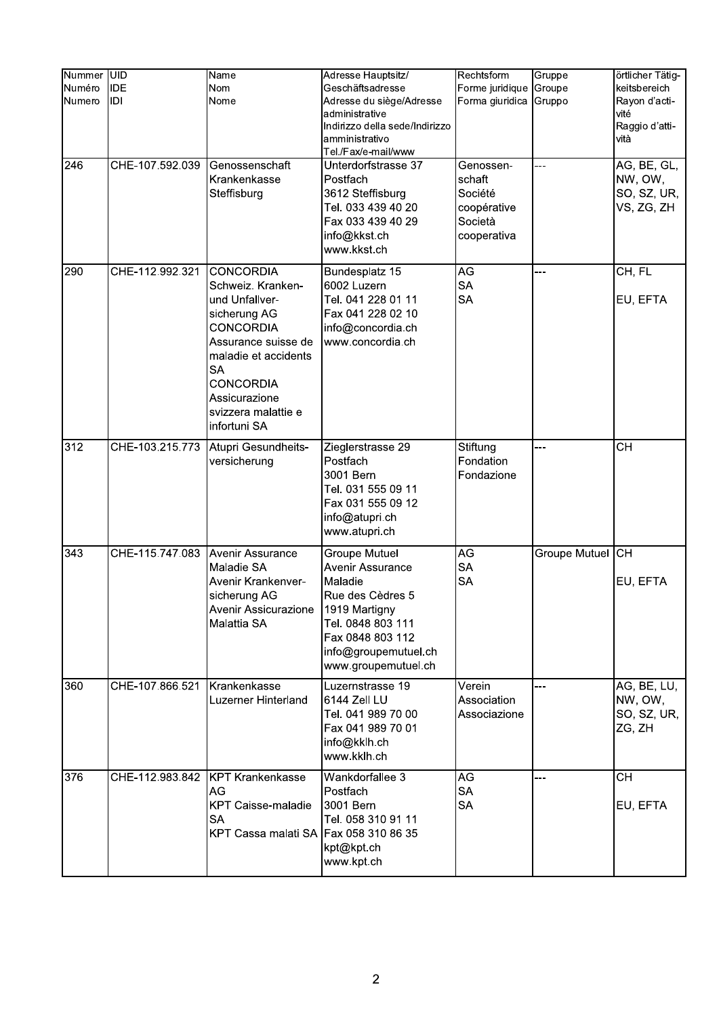| Nummer UID<br>Numéro | <b>IDE</b>      | Name<br><b>Nom</b>                                                                                                                                                                                                                  | Adresse Hauptsitz/<br>Geschäftsadresse                                                                                                                                           | Rechtsform<br>Forme juridique                                           | Gruppe<br>Groupe | örtlicher Tätig-<br>keitsbereich                    |
|----------------------|-----------------|-------------------------------------------------------------------------------------------------------------------------------------------------------------------------------------------------------------------------------------|----------------------------------------------------------------------------------------------------------------------------------------------------------------------------------|-------------------------------------------------------------------------|------------------|-----------------------------------------------------|
| Numero               | IDI             | Nome                                                                                                                                                                                                                                | Adresse du siège/Adresse<br>administrative<br>Indirizzo della sede/Indirizzo<br>amministrativo<br>Tel./Fax/e-mail/www                                                            | Forma giuridica                                                         | Gruppo           | Rayon d'acti-<br>vité<br>Raggio d'atti-<br>vità     |
| 246                  | CHE-107.592.039 | Genossenschaft<br>Krankenkasse<br>Steffisburg                                                                                                                                                                                       | Unterdorfstrasse 37<br>Postfach<br>3612 Steffisburg<br>Tel. 033 439 40 20<br>Fax 033 439 40 29<br>info@kkst.ch<br>www.kkst.ch                                                    | Genossen-<br>schaft<br>Société<br>coopérative<br>Società<br>cooperativa |                  | AG, BE, GL,<br>NW, OW,<br>SO, SZ, UR,<br>VS, ZG, ZH |
| 290                  | CHE-112.992.321 | <b>CONCORDIA</b><br>Schweiz. Kranken-<br>und Unfallver-<br>sicherung AG<br><b>CONCORDIA</b><br>Assurance suisse de<br>maladie et accidents<br><b>SA</b><br><b>CONCORDIA</b><br>Assicurazione<br>svizzera malattie e<br>infortuni SA | Bundesplatz 15<br>6002 Luzern<br>Tel. 041 228 01 11<br>Fax 041 228 02 10<br>info@concordia.ch<br>www.concordia.ch                                                                | AG<br><b>SA</b><br><b>SA</b>                                            | $-1$             | CH, FL<br>EU, EFTA                                  |
| 312                  | CHE-103.215.773 | Atupri Gesundheits-<br>versicherung                                                                                                                                                                                                 | Zieglerstrasse 29<br>Postfach<br>3001 Bern<br>Tel. 031 555 09 11<br>Fax 031 555 09 12<br>info@atupri.ch<br>www.atupri.ch                                                         | Stiftung<br>Fondation<br>Fondazione                                     | ---              | <b>CH</b>                                           |
| 343                  | CHE-115.747.083 | Avenir Assurance<br>Maladie SA<br>Avenir Krankenver-<br>sicherung AG<br>Avenir Assicurazione<br>Malattia SA                                                                                                                         | <b>Groupe Mutuel</b><br>Avenir Assurance<br>Maladie<br>Rue des Cèdres 5<br>1919 Martigny<br>Tel. 0848 803 111<br>Fax 0848 803 112<br>info@groupemutuel.ch<br>www.groupemutuel.ch | $\overline{\mathsf{AG}}$<br><b>SA</b><br><b>SA</b>                      | Groupe Mutuel CH | EU, EFTA                                            |
| 360                  | CHE-107.866.521 | Krankenkasse<br>Luzerner Hinterland                                                                                                                                                                                                 | Luzernstrasse 19<br>6144 Zell LU<br>Tel. 041 989 70 00<br>Fax 041 989 70 01<br>info@kklh.ch<br>www.kklh.ch                                                                       | Verein<br>Association<br>Associazione                                   | $-1$             | AG, BE, LU,<br>NW, OW,<br>SO, SZ, UR,<br>ZG, ZH     |
| 376                  | CHE-112.983.842 | <b>KPT Krankenkasse</b><br>AG<br><b>KPT Caisse-maladie</b><br><b>SA</b><br>KPT Cassa malati SA                                                                                                                                      | Wankdorfallee 3<br>Postfach<br>3001 Bern<br>Tel. 058 310 91 11<br>Fax 058 310 86 35<br>kpt@kpt.ch<br>www.kpt.ch                                                                  | AG<br><b>SA</b><br><b>SA</b>                                            |                  | $\overline{CH}$<br>EU, EFTA                         |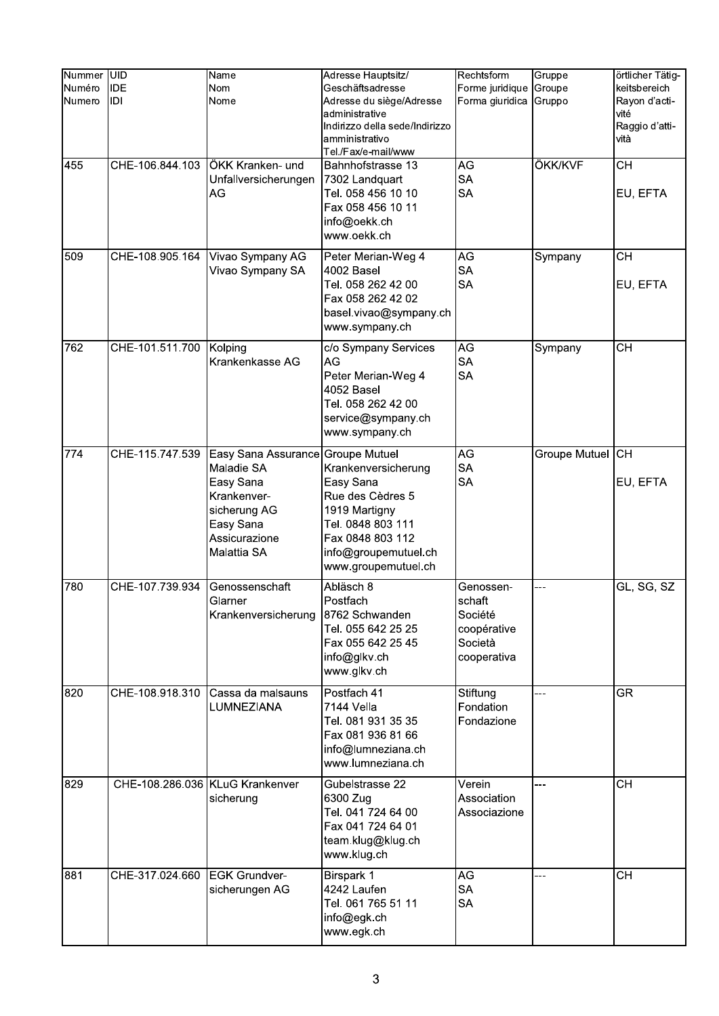| Nummer UID<br>Numéro<br>Numero | <b>IDE</b><br>IDI | Name<br>Nom<br>Nome                                                                                                                      | Adresse Hauptsitz/<br>Geschäftsadresse<br>Adresse du siège/Adresse<br>administrative<br>Indirizzo della sede/Indirizzo<br>amministrativo<br>Tel./Fax/e-mail/www | Rechtsform<br>Forme juridique<br>Forma giuridica                        | Gruppe<br>Groupe<br>Gruppo | örtlicher Tätig-<br>keitsbereich<br>Rayon d'acti-<br>vité<br>Raggio d'atti-<br>vità |
|--------------------------------|-------------------|------------------------------------------------------------------------------------------------------------------------------------------|-----------------------------------------------------------------------------------------------------------------------------------------------------------------|-------------------------------------------------------------------------|----------------------------|-------------------------------------------------------------------------------------|
| 455                            | CHE-106.844.103   | ÖKK Kranken- und<br>Unfallversicherungen<br>AG                                                                                           | Bahnhofstrasse 13<br>7302 Landquart<br>Tel. 058 456 10 10<br>Fax 058 456 10 11<br>info@oekk.ch<br>www.oekk.ch                                                   | AG<br><b>SA</b><br><b>SA</b>                                            | ÖKK/KVF                    | $\overline{CH}$<br>EU, EFTA                                                         |
| 509                            | CHE-108.905.164   | Vivao Sympany AG<br>Vivao Sympany SA                                                                                                     | Peter Merian-Weg 4<br>4002 Basel<br>Tel. 058 262 42 00<br>Fax 058 262 42 02<br>basel.vivao@sympany.ch<br>www.sympany.ch                                         | $\overline{\mathsf{AG}}$<br><b>SA</b><br><b>SA</b>                      | Sympany                    | $\overline{CH}$<br>EU, EFTA                                                         |
| 762                            | CHE-101.511.700   | Kolping<br>Krankenkasse AG                                                                                                               | c/o Sympany Services<br>AG<br>Peter Merian-Weg 4<br>4052 Basel<br>Tel. 058 262 42 00<br>service@sympany.ch<br>www.sympany.ch                                    | AG<br><b>SA</b><br><b>SA</b>                                            | Sympany                    | <b>CH</b>                                                                           |
| 774                            | CHE-115.747.539   | Easy Sana Assurance Groupe Mutuel<br>Maladie SA<br>Easy Sana<br>Krankenver-<br>sicherung AG<br>Easy Sana<br>Assicurazione<br>Malattia SA | Krankenversicherung<br>Easy Sana<br>Rue des Cèdres 5<br>1919 Martigny<br>Tel. 0848 803 111<br>Fax 0848 803 112<br>info@groupemutuel.ch<br>www.groupemutuel.ch   | AG<br><b>SA</b><br><b>SA</b>                                            | Groupe Mutuel CH           | EU, EFTA                                                                            |
| 780                            | CHE-107.739.934   | Genossenschaft<br>Glarner<br>Krankenversicherung                                                                                         | Abläsch 8<br>Postfach<br>8762 Schwanden<br>Tel. 055 642 25 25<br>Fax 055 642 25 45<br>info@glkv.ch<br>www.glkv.ch                                               | Genossen-<br>schaft<br>Société<br>coopérative<br>Società<br>cooperativa | ---                        | GL, SG, SZ                                                                          |
| 820                            | CHE-108.918.310   | Cassa da malsauns<br>LUMNEZIANA                                                                                                          | Postfach 41<br>7144 Vella<br>Tel. 081 931 35 35<br>Fax 081 936 81 66<br>info@lumneziana.ch<br>www.lumneziana.ch                                                 | Stiftung<br>Fondation<br>Fondazione                                     | ---                        | $\overline{\text{GR}}$                                                              |
| 829                            |                   | CHE-108.286.036 KLuG Krankenver<br>sicherung                                                                                             | Gubelstrasse 22<br>6300 Zug<br>Tel. 041 724 64 00<br>Fax 041 724 64 01<br>team.klug@klug.ch<br>www.klug.ch                                                      | Verein<br>Association<br>Associazione                                   | ---                        | <b>CH</b>                                                                           |
| 881                            | CHE-317.024.660   | <b>EGK Grundver-</b><br>sicherungen AG                                                                                                   | Birspark 1<br>4242 Laufen<br>Tel. 061 765 51 11<br>info@egk.ch<br>www.egk.ch                                                                                    | AG<br><b>SA</b><br><b>SA</b>                                            | ---                        | <b>CH</b>                                                                           |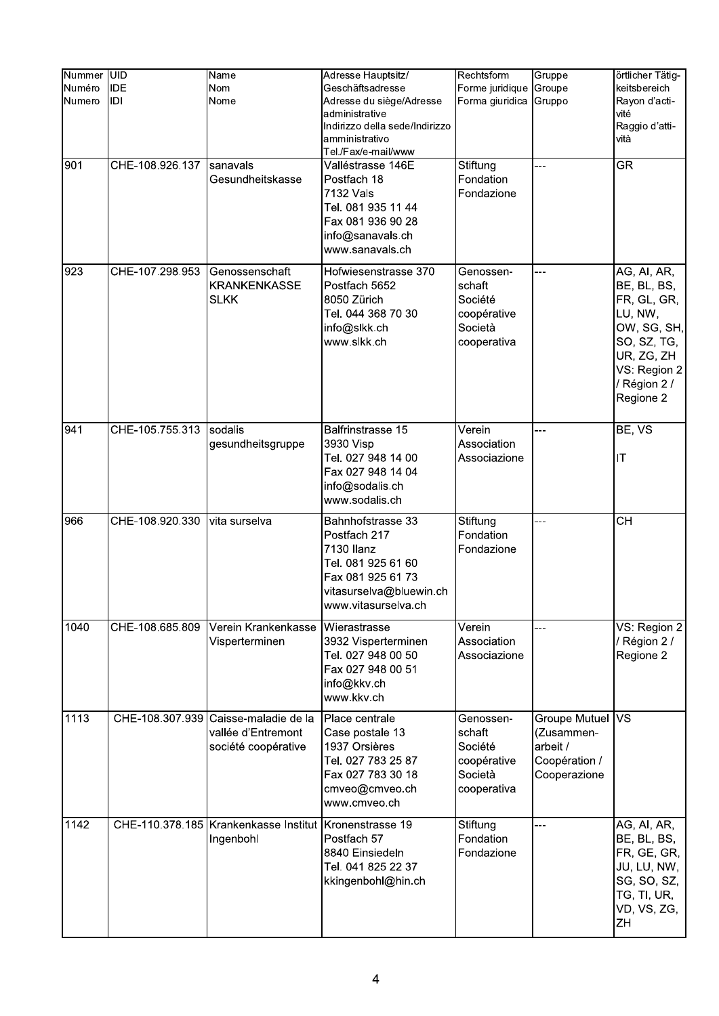| Nummer UID<br>Numéro<br>Numero | <b>IDE</b><br>IDI | Name<br><b>Nom</b><br>Nome                                          | Adresse Hauptsitz/<br>Geschäftsadresse<br>Adresse du siège/Adresse<br>administrative<br>Indirizzo della sede/Indirizzo<br>amministrativo<br>Tel./Fax/e-mail/www | Rechtsform<br>Forme juridique<br>Forma giuridica                        | Gruppe<br>Groupe<br>Gruppo                                                  | örtlicher Tätig-<br>keitsbereich<br>Rayon d'acti-<br>vité<br>Raggio d'atti-<br>vità                                                           |
|--------------------------------|-------------------|---------------------------------------------------------------------|-----------------------------------------------------------------------------------------------------------------------------------------------------------------|-------------------------------------------------------------------------|-----------------------------------------------------------------------------|-----------------------------------------------------------------------------------------------------------------------------------------------|
| 901                            | CHE-108.926.137   | sanavals<br>Gesundheitskasse                                        | Valléstrasse 146E<br>Postfach 18<br>7132 Vals<br>Tel. 081 935 11 44<br>Fax 081 936 90 28<br>info@sanavals.ch<br>www.sanavals.ch                                 | Stiftung<br>Fondation<br>Fondazione                                     | ---                                                                         | <b>GR</b>                                                                                                                                     |
| 923                            | CHE-107.298.953   | Genossenschaft<br><b>KRANKENKASSE</b><br><b>SLKK</b>                | Hofwiesenstrasse 370<br>Postfach 5652<br>8050 Zürich<br>Tel. 044 368 70 30<br>info@slkk.ch<br>www.slkk.ch                                                       | Genossen-<br>schaft<br>Société<br>coopérative<br>Società<br>cooperativa | ---                                                                         | AG, AI, AR,<br>BE, BL, BS,<br>FR, GL, GR,<br>LU, NW,<br>OW, SG, SH,<br>SO, SZ, TG,<br>UR, ZG, ZH<br>VS: Region 2<br>/ Région 2 /<br>Regione 2 |
| 941                            | CHE-105.755.313   | sodalis<br>gesundheitsgruppe                                        | Balfrinstrasse 15<br>3930 Visp<br>Tel. 027 948 14 00<br>Fax 027 948 14 04<br>info@sodalis.ch<br>www.sodalis.ch                                                  | Verein<br>Association<br>Associazione                                   | ---                                                                         | BE, VS<br>IT                                                                                                                                  |
| 966                            | CHE-108.920.330   | vita surselva                                                       | Bahnhofstrasse 33<br>Postfach 217<br>7130 Ilanz<br>Tel. 081 925 61 60<br>Fax 081 925 61 73<br>vitasurselva@bluewin.ch<br>www.vitasurselva.ch                    | Stiftung<br>Fondation<br>Fondazione                                     | ---                                                                         | <b>CH</b>                                                                                                                                     |
| 1040                           | CHE-108.685.809   | Verein Krankenkasse<br>Visperterminen                               | Wierastrasse<br>3932 Visperterminen<br>Tel. 027 948 00 50<br>Fax 027 948 00 51<br>info@kkv.ch<br>www.kkv.ch                                                     | Verein<br>Association<br>Associazione                                   | ---                                                                         | VS: Region 2<br>/ Région 2 /<br>Regione 2                                                                                                     |
| 1113                           | CHE-108.307.939   | Caisse-maladie de la<br>vallée d'Entremont<br>société coopérative   | Place centrale<br>Case postale 13<br>1937 Orsières<br>Tel. 027 783 25 87<br>Fax 027 783 30 18<br>cmveo@cmveo.ch<br>www.cmveo.ch                                 | Genossen-<br>schaft<br>Société<br>coopérative<br>Società<br>cooperativa | Groupe Mutuel VS<br>(Zusammen-<br>arbeit /<br>Coopération /<br>Cooperazione |                                                                                                                                               |
| 1142                           |                   | CHE-110.378.185 Krankenkasse Institut Kronenstrasse 19<br>Ingenbohl | Postfach 57<br>8840 Einsiedeln<br>Tel. 041 825 22 37<br>kkingenbohl@hin.ch                                                                                      | Stiftung<br>Fondation<br>Fondazione                                     | ---                                                                         | AG, AI, AR,<br>BE, BL, BS,<br>FR, GE, GR,<br>JU, LU, NW,<br>SG, SO, SZ,<br>TG, TI, UR,<br>VD, VS, ZG,<br>ZΗ                                   |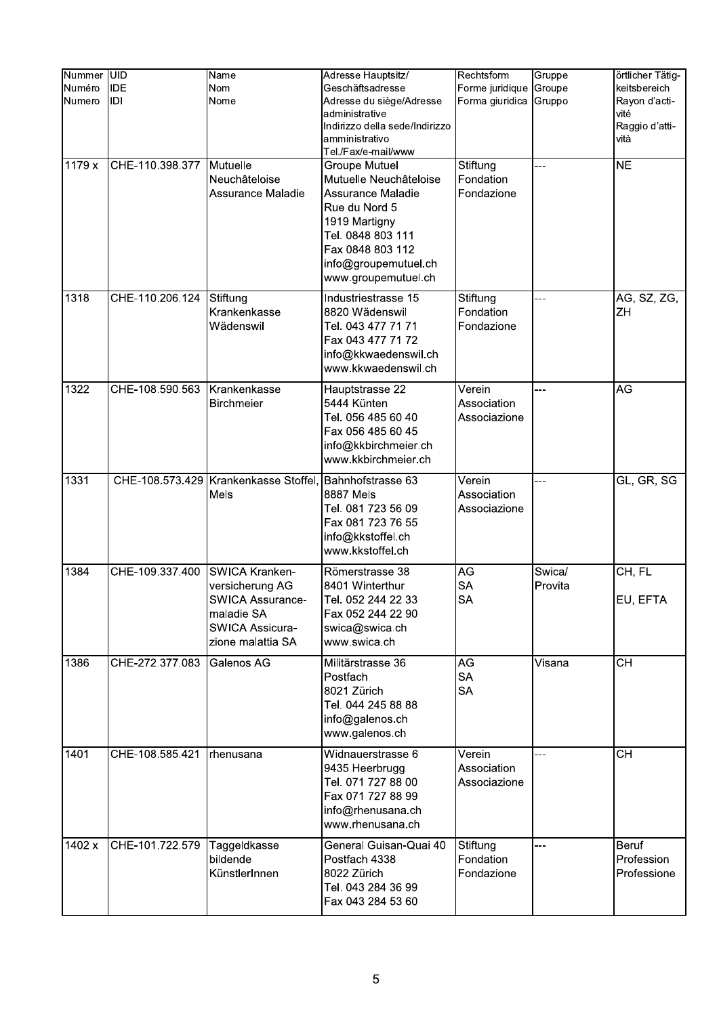| Nummer<br>Numéro<br>Numero | <b>UID</b><br><b>IDE</b><br>IDI | Name<br><b>Nom</b><br>Nome                                                                                         | Adresse Hauptsitz/<br>Geschäftsadresse<br>Adresse du siège/Adresse<br>administrative<br>Indirizzo della sede/Indirizzo<br>amministrativo<br>Tel./Fax/e-mail/www                        | Rechtsform<br>Forme juridique<br>Forma giuridica | Gruppe<br>Groupe<br>Gruppo | örtlicher Tätig-<br>keitsbereich<br>Rayon d'acti-<br>vité<br>Raggio d'atti-<br>vità |
|----------------------------|---------------------------------|--------------------------------------------------------------------------------------------------------------------|----------------------------------------------------------------------------------------------------------------------------------------------------------------------------------------|--------------------------------------------------|----------------------------|-------------------------------------------------------------------------------------|
| 1179 x                     | CHE-110.398.377                 | Mutuelle<br>Neuchâteloise<br>Assurance Maladie                                                                     | Groupe Mutuel<br>Mutuelle Neuchâteloise<br>Assurance Maladie<br>Rue du Nord 5<br>1919 Martigny<br>Tel. 0848 803 111<br>Fax 0848 803 112<br>info@groupemutuel.ch<br>www.groupemutuel.ch | Stiftung<br>Fondation<br>Fondazione              |                            | <b>NE</b>                                                                           |
| 1318                       | CHE-110.206.124                 | Stiftung<br>Krankenkasse<br>Wädenswil                                                                              | Industriestrasse 15<br>8820 Wädenswil<br>Tel. 043 477 71 71<br>Fax 043 477 71 72<br>info@kkwaedenswil.ch<br>www.kkwaedenswil.ch                                                        | Stiftung<br>Fondation<br>Fondazione              | ---                        | AG, SZ, ZG,<br>ZH                                                                   |
| 1322                       | CHE-108.590.563                 | Krankenkasse<br><b>Birchmeier</b>                                                                                  | Hauptstrasse 22<br>5444 Künten<br>Tel. 056 485 60 40<br>Fax 056 485 60 45<br>info@kkbirchmeier.ch<br>www.kkbirchmeier.ch                                                               | Verein<br>Association<br>Associazione            |                            | AG                                                                                  |
| 1331                       |                                 | CHE-108.573.429 Krankenkasse Stoffel, Bahnhofstrasse 63<br>Mels                                                    | 8887 Mels<br>Tel. 081 723 56 09<br>Fax 081 723 76 55<br>info@kkstoffel.ch<br>www.kkstoffel.ch                                                                                          | Verein<br>Association<br>Associazione            | ---                        | GL, GR, SG                                                                          |
| 1384                       | CHE-109.337.400                 | SWICA Kranken-<br>versicherung AG<br>SWICA Assurance-<br>maladie SA<br><b>SWICA Assicura-</b><br>zione malattia SA | Römerstrasse 38<br>8401 Winterthur<br>Tel. 052 244 22 33<br>Fax 052 244 22 90<br>swica@swica.ch<br>www.swica.ch                                                                        | AG<br><b>SA</b><br><b>SA</b>                     | Swica/<br>Provita          | CH, FL<br>EU, EFTA                                                                  |
| 1386                       | CHE-272.377.083                 | Galenos AG                                                                                                         | Militärstrasse 36<br>Postfach<br>8021 Zürich<br>Tel. 044 245 88 88<br>info@galenos.ch<br>www.galenos.ch                                                                                | AG<br><b>SA</b><br><b>SA</b>                     | Visana                     | $\overline{CH}$                                                                     |
| 1401                       | CHE-108.585.421                 | rhenusana                                                                                                          | Widnauerstrasse 6<br>9435 Heerbrugg<br>Tel. 071 727 88 00<br>Fax 071 727 88 99<br>info@rhenusana.ch<br>www.rhenusana.ch                                                                | Verein<br>Association<br>Associazione            | ---                        | $\overline{CH}$                                                                     |
| 1402 x                     | CHE-101.722.579                 | Taggeldkasse<br>bildende<br>KünstlerInnen                                                                          | General Guisan-Quai 40<br>Postfach 4338<br>8022 Zürich<br>Tel. 043 284 36 99<br>Fax 043 284 53 60                                                                                      | Stiftung<br>Fondation<br>Fondazione              | $-1$                       | <b>Beruf</b><br>Profession<br>Professione                                           |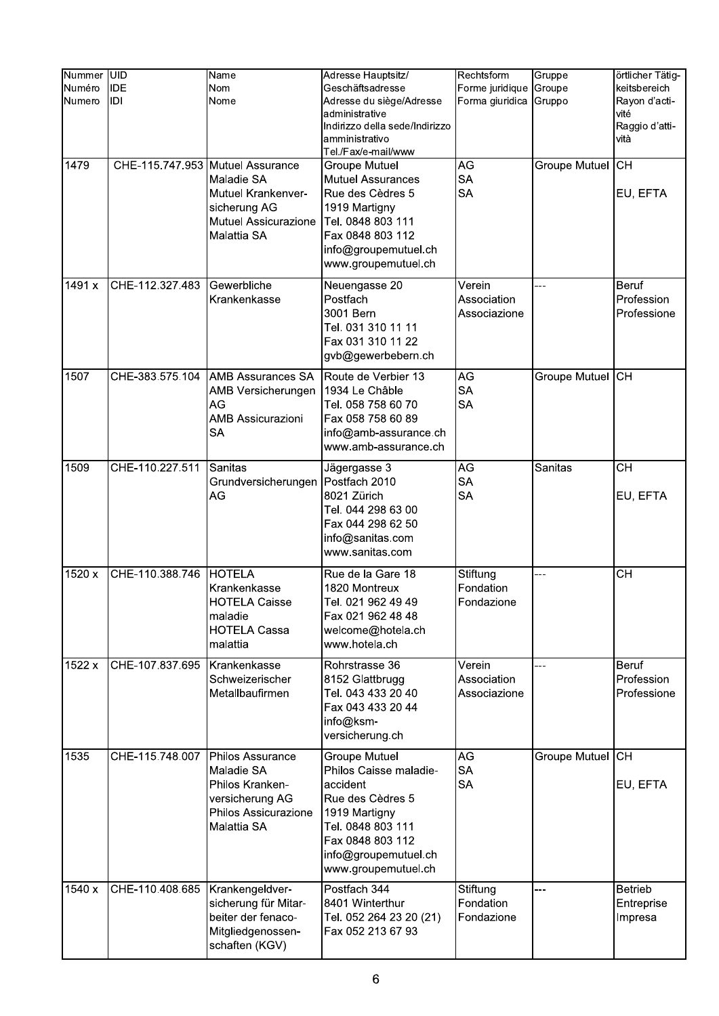|                            | <b>UID</b>        |                                                                                                                             |                                                                                                                                                                                         | Rechtsform                                         |                            |                                                                                     |
|----------------------------|-------------------|-----------------------------------------------------------------------------------------------------------------------------|-----------------------------------------------------------------------------------------------------------------------------------------------------------------------------------------|----------------------------------------------------|----------------------------|-------------------------------------------------------------------------------------|
| Nummer<br>Numéro<br>Numero | <b>IDE</b><br>IDI | Name<br>Nom<br>Nome                                                                                                         | Adresse Hauptsitz/<br>Geschäftsadresse<br>Adresse du siège/Adresse<br>administrative<br>Indirizzo della sede/Indirizzo<br>amministrativo<br>Tel./Fax/e-mail/www                         | Forme juridique<br>Forma giuridica                 | Gruppe<br>Groupe<br>Gruppo | örtlicher Tätig-<br>keitsbereich<br>Rayon d'acti-<br>vité<br>Raggio d'atti-<br>vità |
| 1479                       |                   | CHE-115.747.953 Mutuel Assurance<br>Maladie SA<br>Mutuel Krankenver-<br>sicherung AG<br>Mutuel Assicurazione<br>Malattia SA | <b>Groupe Mutuel</b><br><b>Mutuel Assurances</b><br>Rue des Cèdres 5<br>1919 Martigny<br>Tel. 0848 803 111<br>Fax 0848 803 112<br>info@groupemutuel.ch<br>www.groupemutuel.ch           | AG<br><b>SA</b><br><b>SA</b>                       | Groupe Mutuel CH           | EU, EFTA                                                                            |
| 1491 x                     | CHE-112.327.483   | Gewerbliche<br>Krankenkasse                                                                                                 | Neuengasse 20<br>Postfach<br>3001 Bern<br>Tel. 031 310 11 11<br>Fax 031 310 11 22<br>gvb@gewerbebern.ch                                                                                 | Verein<br>Association<br>Associazione              |                            | <b>Beruf</b><br>Profession<br>Professione                                           |
| 1507                       | CHE-383.575.104   | <b>AMB Assurances SA</b><br>AMB Versicherungen<br>AG<br><b>AMB Assicurazioni</b><br><b>SA</b>                               | Route de Verbier 13<br>1934 Le Châble<br>Tel. 058 758 60 70<br>Fax 058 758 60 89<br>info@amb-assurance.ch<br>www.amb-assurance.ch                                                       | AG<br><b>SA</b><br><b>SA</b>                       | Groupe Mutuel CH           |                                                                                     |
| 1509                       | CHE-110.227.511   | Sanitas<br>Grundversicherungen<br>AG                                                                                        | Jägergasse 3<br>Postfach 2010<br>8021 Zürich<br>Tel. 044 298 63 00<br>Fax 044 298 62 50<br>info@sanitas.com<br>www.sanitas.com                                                          | AG<br><b>SA</b><br>SA                              | Sanitas                    | <b>CH</b><br>EU, EFTA                                                               |
| 1520 x                     | CHE-110.388.746   | <b>HOTELA</b><br>Krankenkasse<br>HOTELA Caisse<br>maladie<br><b>HOTELA Cassa</b><br>malattia                                | Rue de la Gare 18<br>1820 Montreux<br>Tel. 021 962 49 49<br>Fax 021 962 48 48<br>welcome@hotela.ch<br>www.hotela.ch                                                                     | Stiftung<br>Fondation<br>Fondazione                | ---                        | <b>CH</b>                                                                           |
| 1522 x                     | CHE-107.837.695   | Krankenkasse<br>Schweizerischer<br>Metallbaufirmen                                                                          | Rohrstrasse 36<br>8152 Glattbrugg<br>Tel. 043 433 20 40<br>Fax 043 433 20 44<br>info@ksm-<br>versicherung.ch                                                                            | Verein<br>Association<br>Associazione              | ---                        | Beruf<br>Profession<br>Professione                                                  |
| 1535                       | CHE-115.748.007   | Philos Assurance<br>Maladie SA<br>Philos Kranken-<br>versicherung AG<br>Philos Assicurazione<br>Malattia SA                 | <b>Groupe Mutuel</b><br>Philos Caisse maladie-<br>accident<br>Rue des Cèdres 5<br>1919 Martigny<br>Tel. 0848 803 111<br>Fax 0848 803 112<br>info@groupemutuel.ch<br>www.groupemutuel.ch | $\overline{\mathsf{AG}}$<br><b>SA</b><br><b>SA</b> | Groupe Mutuel CH           | EU, EFTA                                                                            |
| 1540 x                     | CHE-110.408.685   | Krankengeldver-<br>sicherung für Mitar-<br>beiter der fenaco-<br>Mitgliedgenossen-<br>schaften (KGV)                        | Postfach 344<br>8401 Winterthur<br>Tel. 052 264 23 20 (21)<br>Fax 052 213 67 93                                                                                                         | Stiftung<br>Fondation<br>Fondazione                |                            | <b>Betrieb</b><br>Entreprise<br>Impresa                                             |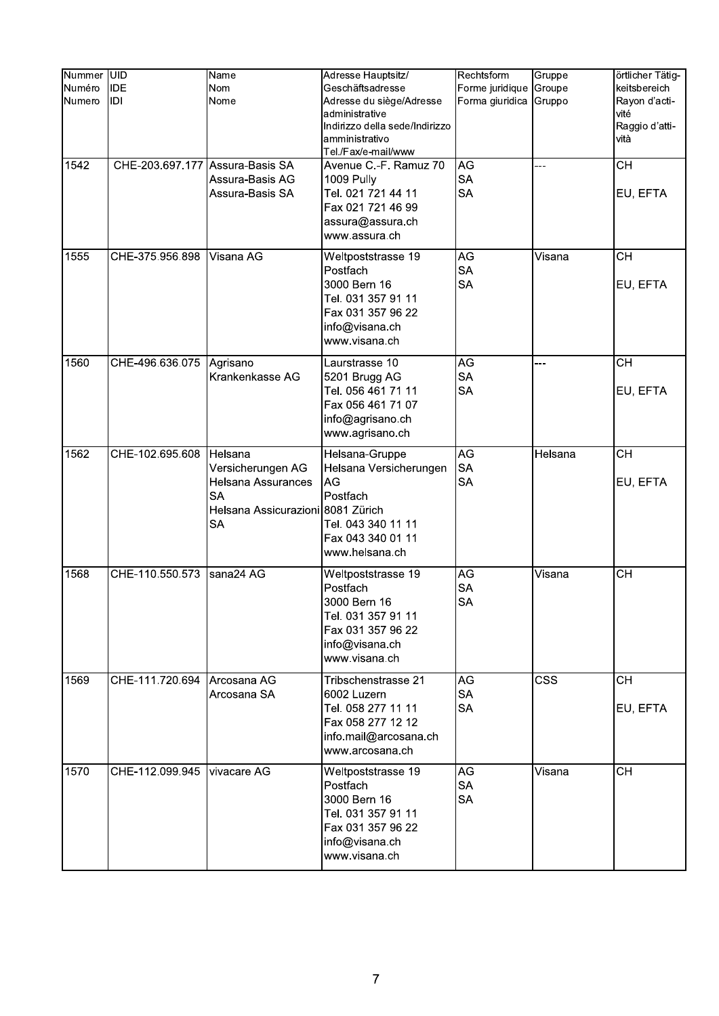| Nummer UID |                                 |                                   |                                |                 |            |                                   |
|------------|---------------------------------|-----------------------------------|--------------------------------|-----------------|------------|-----------------------------------|
|            |                                 | Name                              | Adresse Hauptsitz/             | Rechtsform      | Gruppe     | örtlicher Tätig-                  |
| Numéro     | <b>IDE</b>                      | <b>Nom</b>                        | Geschäftsadresse               | Forme juridique | Groupe     | keitsbereich                      |
| Numero     | IDI                             | Nome                              | Adresse du siège/Adresse       | Forma giuridica | Gruppo     | Rayon d'acti-                     |
|            |                                 |                                   | administrative                 |                 |            | vité                              |
|            |                                 |                                   | Indirizzo della sede/Indirizzo |                 |            | Raggio d'atti-                    |
|            |                                 |                                   | amministrativo                 |                 |            | vità                              |
|            |                                 |                                   | Tel./Fax/e-mail/www            |                 |            |                                   |
| 1542       | CHE-203.697.177 Assura-Basis SA |                                   | Avenue C.-F. Ramuz 70          | AG              |            | <b>CH</b>                         |
|            |                                 | Assura-Basis AG                   | 1009 Pully                     | <b>SA</b>       |            |                                   |
|            |                                 | Assura-Basis SA                   | Tel. 021 721 44 11             | <b>SA</b>       |            | EU, EFTA                          |
|            |                                 |                                   | Fax 021 721 46 99              |                 |            |                                   |
|            |                                 |                                   | assura@assura.ch               |                 |            |                                   |
|            |                                 |                                   | www.assura.ch                  |                 |            |                                   |
| 1555       | CHE-375.956.898                 |                                   |                                | <b>AG</b>       |            | $\overline{\overline{\text{CH}}}$ |
|            |                                 | Visana AG                         | Weltpoststrasse 19             |                 | Visana     |                                   |
|            |                                 |                                   | Postfach                       | <b>SA</b>       |            |                                   |
|            |                                 |                                   | 3000 Bern 16                   | <b>SA</b>       |            | EU, EFTA                          |
|            |                                 |                                   | Tel. 031 357 91 11             |                 |            |                                   |
|            |                                 |                                   | Fax 031 357 96 22              |                 |            |                                   |
|            |                                 |                                   | info@visana.ch                 |                 |            |                                   |
|            |                                 |                                   | www.visana.ch                  |                 |            |                                   |
| 1560       | CHE-496.636.075                 | Agrisano                          | Laurstrasse 10                 | <b>AG</b>       | ---        | $\overline{CH}$                   |
|            |                                 | Krankenkasse AG                   |                                | <b>SA</b>       |            |                                   |
|            |                                 |                                   | 5201 Brugg AG                  |                 |            |                                   |
|            |                                 |                                   | Tel. 056 461 71 11             | <b>SA</b>       |            | EU, EFTA                          |
|            |                                 |                                   | Fax 056 461 71 07              |                 |            |                                   |
|            |                                 |                                   | info@agrisano.ch               |                 |            |                                   |
|            |                                 |                                   | www.agrisano.ch                |                 |            |                                   |
| 1562       | CHE-102.695.608                 | Helsana                           | Helsana-Gruppe                 | AG              | Helsana    | <b>CH</b>                         |
|            |                                 | Versicherungen AG                 | Helsana Versicherungen         | <b>SA</b>       |            |                                   |
|            |                                 | Helsana Assurances                | AG                             | <b>SA</b>       |            | EU, EFTA                          |
|            |                                 | <b>SA</b>                         | Postfach                       |                 |            |                                   |
|            |                                 |                                   |                                |                 |            |                                   |
|            |                                 | Helsana Assicurazioni 8081 Zürich |                                |                 |            |                                   |
|            |                                 | <b>SA</b>                         | Tel. 043 340 11 11             |                 |            |                                   |
|            |                                 |                                   | Fax 043 340 01 11              |                 |            |                                   |
|            |                                 |                                   | www.helsana.ch                 |                 |            |                                   |
| 1568       | CHE-110.550.573                 | sana24 AG                         | Weltpoststrasse 19             | AG              | Visana     | <b>CH</b>                         |
|            |                                 |                                   | Postfach                       | <b>SA</b>       |            |                                   |
|            |                                 |                                   | 3000 Bern 16                   | <b>SA</b>       |            |                                   |
|            |                                 |                                   | Tel. 031 357 91 11             |                 |            |                                   |
|            |                                 |                                   | Fax 031 357 96 22              |                 |            |                                   |
|            |                                 |                                   |                                |                 |            |                                   |
|            |                                 |                                   | info@visana.ch                 |                 |            |                                   |
|            |                                 |                                   | www.visana.ch                  |                 |            |                                   |
| 1569       | CHE-111.720.694                 | Arcosana AG                       | Tribschenstrasse 21            | AG              | <b>CSS</b> | <b>CH</b>                         |
|            |                                 | Arcosana SA                       | 6002 Luzern                    | <b>SA</b>       |            |                                   |
|            |                                 |                                   | Tel. 058 277 11 11             | <b>SA</b>       |            | EU, EFTA                          |
|            |                                 |                                   | Fax 058 277 12 12              |                 |            |                                   |
|            |                                 |                                   | info.mail@arcosana.ch          |                 |            |                                   |
|            |                                 |                                   | www.arcosana.ch                |                 |            |                                   |
|            |                                 |                                   |                                |                 |            |                                   |
| 1570       | CHE-112.099.945                 | vivacare AG                       | Weltpoststrasse 19             | AG              | Visana     | <b>CH</b>                         |
|            |                                 |                                   | Postfach                       | <b>SA</b>       |            |                                   |
|            |                                 |                                   | 3000 Bern 16                   | <b>SA</b>       |            |                                   |
|            |                                 |                                   | Tel. 031 357 91 11             |                 |            |                                   |
|            |                                 |                                   | Fax 031 357 96 22              |                 |            |                                   |
|            |                                 |                                   | info@visana.ch                 |                 |            |                                   |
|            |                                 |                                   | www.visana.ch                  |                 |            |                                   |
|            |                                 |                                   |                                |                 |            |                                   |